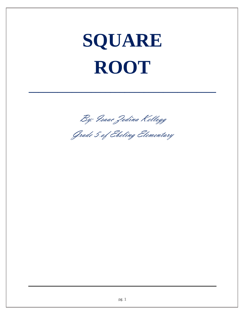## **SQUARE ROOT**

By: Isaac Zodina Kellogg

**\_\_\_\_\_\_\_\_\_\_\_\_\_\_\_\_\_\_\_\_\_\_\_\_\_\_\_\_\_\_\_\_\_\_\_\_\_\_\_**

Grade 5 of Ebeling Elementary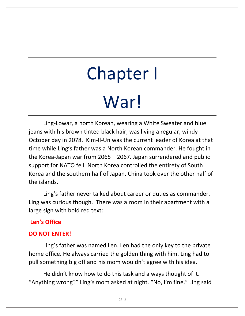# Chapter I War!

Ling-Lowar, a north Korean, wearing a White Sweater and blue jeans with his brown tinted black hair, was living a regular, windy October day in 2078. Kim-Il-Un was the current leader of Korea at that time while Ling's father was a North Korean commander. He fought in the Korea-Japan war from 2065 – 2067. Japan surrendered and public support for NATO fell. North Korea controlled the entirety of South Korea and the southern half of Japan. China took over the other half of the islands.

Ling's father never talked about career or duties as commander. Ling was curious though. There was a room in their apartment with a large sign with bold red text:

### **Len's Office**

### **DO NOT ENTER!**

Ling's father was named Len. Len had the only key to the private home office. He always carried the golden thing with him. Ling had to pull something big off and his mom wouldn't agree with his idea.

He didn't know how to do this task and always thought of it. "Anything wrong?" Ling's mom asked at night. "No, I'm fine," Ling said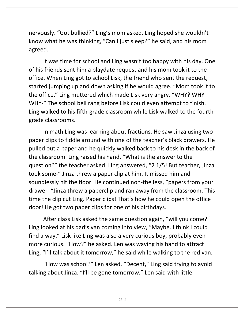nervously. "Got bullied?" Ling's mom asked. Ling hoped she wouldn't know what he was thinking, "Can I just sleep?" he said, and his mom agreed.

It was time for school and Ling wasn't too happy with his day. One of his friends sent him a playdate request and his mom took it to the office. When Ling got to school Lisk, the friend who sent the request, started jumping up and down asking if he would agree. "Mom took it to the office," Ling muttered which made Lisk very angry, "WHY? WHY WHY-" The school bell rang before Lisk could even attempt to finish. Ling walked to his fifth-grade classroom while Lisk walked to the fourthgrade classrooms.

In math Ling was learning about fractions. He saw Jinza using two paper clips to fiddle around with one of the teacher's black drawers. He pulled out a paper and he quickly walked back to his desk in the back of the classroom. Ling raised his hand. "What is the answer to the question?" the teacher asked. Ling answered, "2 1/5! But teacher, Jinza took some-" Jinza threw a paper clip at him. It missed him and soundlessly hit the floor. He continued non-the less, "papers from your drawer- "Jinza threw a paperclip and ran away from the classroom. This time the clip cut Ling. Paper clips! That's how he could open the office door! He got two paper clips for one of his birthdays.

After class Lisk asked the same question again, "will you come?" Ling looked at his dad's van coming into view, "Maybe. I think I could find a way." Lisk like Ling was also a very curious boy, probably even more curious. "How?" he asked. Len was waving his hand to attract Ling, "I'll talk about it tomorrow," he said while walking to the red van.

"How was school?" Len asked. "Decent," Ling said trying to avoid talking about Jinza. "I'll be gone tomorrow," Len said with little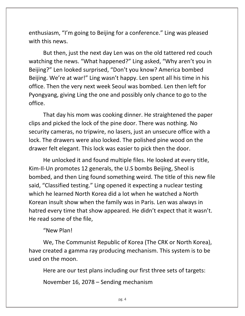enthusiasm, "I'm going to Beijing for a conference." Ling was pleased with this news.

But then, just the next day Len was on the old tattered red couch watching the news. "What happened?" Ling asked, "Why aren't you in Beijing?" Len looked surprised, "Don't you know? America bombed Beijing. We're at war!" Ling wasn't happy. Len spent all his time in his office. Then the very next week Seoul was bombed. Len then left for Pyongyang, giving Ling the one and possibly only chance to go to the office.

That day his mom was cooking dinner. He straightened the paper clips and picked the lock of the pine door. There was nothing. No security cameras, no tripwire, no lasers, just an unsecure office with a lock. The drawers were also locked. The polished pine wood on the drawer felt elegant. This lock was easier to pick then the door.

He unlocked it and found multiple files. He looked at every title, Kim-Il-Un promotes 12 generals, the U.S bombs Beijing, Sheol is bombed, and then Ling found something weird. The title of this new file said, "Classified testing." Ling opened it expecting a nuclear testing which he learned North Korea did a lot when he watched a North Korean insult show when the family was in Paris. Len was always in hatred every time that show appeared. He didn't expect that it wasn't. He read some of the file,

#### "New Plan!

We, The Communist Republic of Korea (The CRK or North Korea), have created a gamma ray producing mechanism. This system is to be used on the moon.

Here are our test plans including our first three sets of targets:

November 16, 2078 – Sending mechanism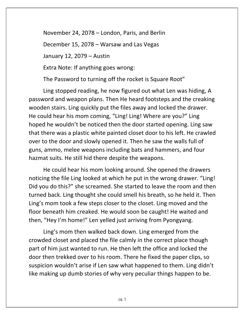November 24, 2078 – London, Paris, and Berlin

December 15, 2078 – Warsaw and Las Vegas

January 12, 2079 – Austin

Extra Note: If anything goes wrong:

The Password to turning off the rocket is Square Root"

Ling stopped reading, he now figured out what Len was hiding, A password and weapon plans. Then He heard footsteps and the creaking wooden stairs. Ling quickly put the files away and locked the drawer. He could hear his mom coming, "Ling! Ling! Where are you?" Ling hoped he wouldn't be noticed then the door started opening. Ling saw that there was a plastic white painted closet door to his left. He crawled over to the door and slowly opened it. Then he saw the walls full of guns, ammo, melee weapons including bats and hammers, and four hazmat suits. He still hid there despite the weapons.

He could hear his mom looking around. She opened the drawers noticing the file Ling looked at which he put in the wrong drawer. "Ling! Did you do this?" she screamed. She started to leave the room and then turned back. Ling thought she could smell his breath, so he held it. Then Ling's mom took a few steps closer to the closet. Ling moved and the floor beneath him creaked. He would soon be caught! He waited and then, "Hey I'm home!" Len yelled just arriving from Pyongyang.

Ling's mom then walked back down. Ling emerged from the crowded closet and placed the file calmly in the correct place though part of him just wanted to run. He then left the office and locked the door then trekked over to his room. There he fixed the paper clips, so suspicion wouldn't arise if Len saw what happened to them. Ling didn't like making up dumb stories of why very peculiar things happen to be.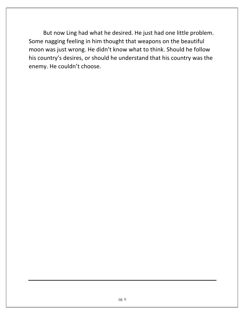But now Ling had what he desired. He just had one little problem. Some nagging feeling in him thought that weapons on the beautiful moon was just wrong. He didn't know what to think. Should he follow his country's desires, or should he understand that his country was the enemy. He couldn't choose.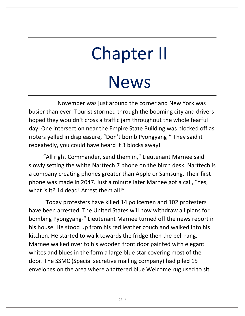### Chapter II News

November was just around the corner and New York was busier than ever. Tourist stormed through the booming city and drivers hoped they wouldn't cross a traffic jam throughout the whole fearful day. One intersection near the Empire State Building was blocked off as rioters yelled in displeasure, "Don't bomb Pyongyang!" They said it repeatedly, you could have heard it 3 blocks away!

"All right Commander, send them in," Lieutenant Marnee said slowly setting the white Narttech 7 phone on the birch desk. Narttech is a company creating phones greater than Apple or Samsung. Their first phone was made in 2047. Just a minute later Marnee got a call, "Yes, what is it? 14 dead! Arrest them all!"

"Today protesters have killed 14 policemen and 102 protesters have been arrested. The United States will now withdraw all plans for bombing Pyongyang-" Lieutenant Marnee turned off the news report in his house. He stood up from his red leather couch and walked into his kitchen. He started to walk towards the fridge then the bell rang. Marnee walked over to his wooden front door painted with elegant whites and blues in the form a large blue star covering most of the door. The SSMC (Special secretive mailing company) had piled 15 envelopes on the area where a tattered blue Welcome rug used to sit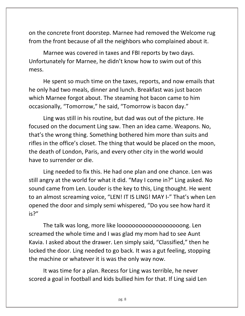on the concrete front doorstep. Marnee had removed the Welcome rug from the front because of all the neighbors who complained about it.

Marnee was covered in taxes and FBI reports by two days. Unfortunately for Marnee, he didn't know how to swim out of this mess.

He spent so much time on the taxes, reports, and now emails that he only had two meals, dinner and lunch. Breakfast was just bacon which Marnee forgot about. The steaming hot bacon came to him occasionally, "Tomorrow," he said, "Tomorrow is bacon day."

Ling was still in his routine, but dad was out of the picture. He focused on the document Ling saw. Then an idea came. Weapons. No, that's the wrong thing. Something bothered him more than suits and rifles in the office's closet. The thing that would be placed on the moon, the death of London, Paris, and every other city in the world would have to surrender or die.

Ling needed to fix this. He had one plan and one chance. Len was still angry at the world for what it did. "May I come in?" Ling asked. No sound came from Len. Louder is the key to this, Ling thought. He went to an almost screaming voice, "LEN! IT IS LING! MAY I-" That's when Len opened the door and simply semi whispered, "Do you see how hard it is?"

The talk was long, more like looooooooooooooooooong. Len screamed the whole time and I was glad my mom had to see Aunt Kavia. I asked about the drawer. Len simply said, "Classified," then he locked the door. Ling needed to go back. It was a gut feeling, stopping the machine or whatever it is was the only way now.

It was time for a plan. Recess for Ling was terrible, he never scored a goal in football and kids bullied him for that. If Ling said Len